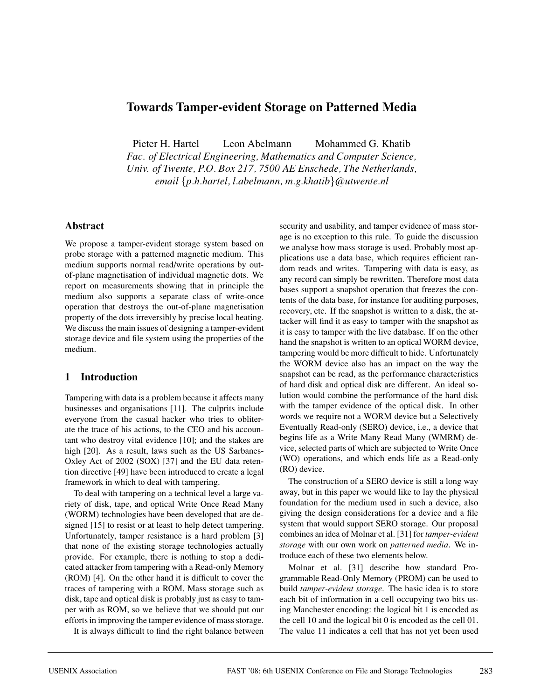# **Towards Tamper-evident Storage on Patterned Media**

Pieter H. Hartel Leon Abelmann Mohammed G. Khatib

*Fac. of Electrical Engineering, Mathematics and Computer Science, Univ. of Twente, P.O. Box 217, 7500 AE Enschede, The Netherlands, email* {*p.h.hartel, l.abelmann, m.g.khatib*}*@utwente.nl*

#### **Abstract**

We propose a tamper-evident storage system based on probe storage with a patterned magnetic medium. This medium supports normal read/write operations by outof-plane magnetisation of individual magnetic dots. We report on measurements showing that in principle the medium also supports a separate class of write-once operation that destroys the out-of-plane magnetisation property of the dots irreversibly by precise local heating. We discuss the main issues of designing a tamper-evident storage device and file system using the properties of the medium.

## **1 Introduction**

Tampering with data is a problem because it affects many businesses and organisations [11]. The culprits include everyone from the casual hacker who tries to obliterate the trace of his actions, to the CEO and his accountant who destroy vital evidence [10]; and the stakes are high [20]. As a result, laws such as the US Sarbanes-Oxley Act of 2002 (SOX) [37] and the EU data retention directive [49] have been introduced to create a legal framework in which to deal with tampering.

To deal with tampering on a technical level a large variety of disk, tape, and optical Write Once Read Many (WORM) technologies have been developed that are designed [15] to resist or at least to help detect tampering. Unfortunately, tamper resistance is a hard problem [3] that none of the existing storage technologies actually provide. For example, there is nothing to stop a dedicated attacker from tampering with a Read-only Memory (ROM) [4]. On the other hand it is difficult to cover the traces of tampering with a ROM. Mass storage such as disk, tape and optical disk is probably just as easy to tamper with as ROM, so we believe that we should put our efforts in improving the tamper evidence of mass storage.

It is always difficult to find the right balance between

security and usability, and tamper evidence of mass storage is no exception to this rule. To guide the discussion we analyse how mass storage is used. Probably most applications use a data base, which requires efficient random reads and writes. Tampering with data is easy, as any record can simply be rewritten. Therefore most data bases support a snapshot operation that freezes the contents of the data base, for instance for auditing purposes, recovery, etc. If the snapshot is written to a disk, the attacker will find it as easy to tamper with the snapshot as it is easy to tamper with the live database. If on the other hand the snapshot is written to an optical WORM device, tampering would be more difficult to hide. Unfortunately the WORM device also has an impact on the way the snapshot can be read, as the performance characteristics of hard disk and optical disk are different. An ideal solution would combine the performance of the hard disk with the tamper evidence of the optical disk. In other words we require not a WORM device but a Selectively Eventually Read-only (SERO) device, i.e., a device that begins life as a Write Many Read Many (WMRM) device, selected parts of which are subjected to Write Once (WO) operations, and which ends life as a Read-only (RO) device.

The construction of a SERO device is still a long way away, but in this paper we would like to lay the physical foundation for the medium used in such a device, also giving the design considerations for a device and a file system that would support SERO storage. Our proposal combines an idea of Molnar et al. [31] for *tamper-evident storage* with our own work on *patterned media*. We introduce each of these two elements below.

Molnar et al. [31] describe how standard Programmable Read-Only Memory (PROM) can be used to build *tamper-evident storage*. The basic idea is to store each bit of information in a cell occupying two bits using Manchester encoding: the logical bit 1 is encoded as the cell 10 and the logical bit 0 is encoded as the cell 01. The value 11 indicates a cell that has not yet been used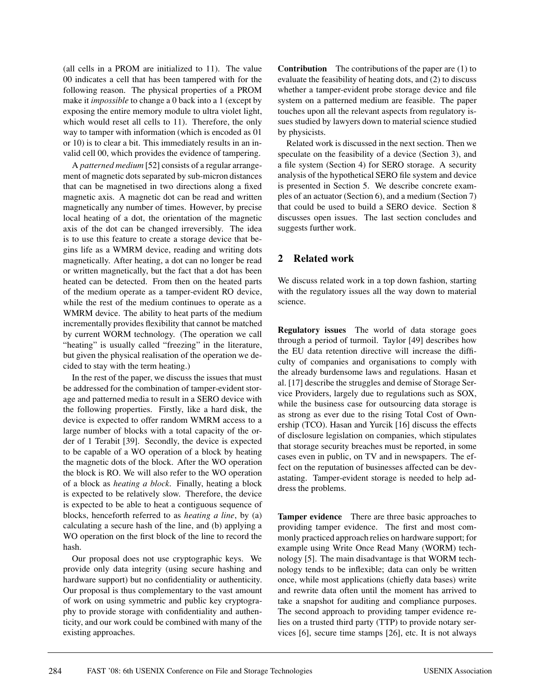(all cells in a PROM are initialized to 11). The value 00 indicates a cell that has been tampered with for the following reason. The physical properties of a PROM make it *impossible* to change a 0 back into a 1 (except by exposing the entire memory module to ultra violet light, which would reset all cells to 11). Therefore, the only way to tamper with information (which is encoded as 01 or 10) is to clear a bit. This immediately results in an invalid cell 00, which provides the evidence of tampering.

A *patterned medium* [52] consists of a regular arrangement of magnetic dots separated by sub-micron distances that can be magnetised in two directions along a fixed magnetic axis. A magnetic dot can be read and written magnetically any number of times. However, by precise local heating of a dot, the orientation of the magnetic axis of the dot can be changed irreversibly. The idea is to use this feature to create a storage device that begins life as a WMRM device, reading and writing dots magnetically. After heating, a dot can no longer be read or written magnetically, but the fact that a dot has been heated can be detected. From then on the heated parts of the medium operate as a tamper-evident RO device, while the rest of the medium continues to operate as a WMRM device. The ability to heat parts of the medium incrementally provides flexibility that cannot be matched by current WORM technology. (The operation we call "heating" is usually called "freezing" in the literature, but given the physical realisation of the operation we decided to stay with the term heating.)

In the rest of the paper, we discuss the issues that must be addressed for the combination of tamper-evident storage and patterned media to result in a SERO device with the following properties. Firstly, like a hard disk, the device is expected to offer random WMRM access to a large number of blocks with a total capacity of the order of 1 Terabit [39]. Secondly, the device is expected to be capable of a WO operation of a block by heating the magnetic dots of the block. After the WO operation the block is RO. We will also refer to the WO operation of a block as *heating a block*. Finally, heating a block is expected to be relatively slow. Therefore, the device is expected to be able to heat a contiguous sequence of blocks, henceforth referred to as *heating a line*, by (a) calculating a secure hash of the line, and (b) applying a WO operation on the first block of the line to record the hash.

Our proposal does not use cryptographic keys. We provide only data integrity (using secure hashing and hardware support) but no confidentiality or authenticity. Our proposal is thus complementary to the vast amount of work on using symmetric and public key cryptography to provide storage with confidentiality and authenticity, and our work could be combined with many of the existing approaches.

**Contribution** The contributions of the paper are (1) to evaluate the feasibility of heating dots, and (2) to discuss whether a tamper-evident probe storage device and file system on a patterned medium are feasible. The paper touches upon all the relevant aspects from regulatory issues studied by lawyers down to material science studied by physicists.

Related work is discussed in the next section. Then we speculate on the feasibility of a device (Section 3), and a file system (Section 4) for SERO storage. A security analysis of the hypothetical SERO file system and device is presented in Section 5. We describe concrete examples of an actuator (Section 6), and a medium (Section 7) that could be used to build a SERO device. Section 8 discusses open issues. The last section concludes and suggests further work.

## **2 Related work**

We discuss related work in a top down fashion, starting with the regulatory issues all the way down to material science.

**Regulatory issues** The world of data storage goes through a period of turmoil. Taylor [49] describes how the EU data retention directive will increase the difficulty of companies and organisations to comply with the already burdensome laws and regulations. Hasan et al. [17] describe the struggles and demise of Storage Service Providers, largely due to regulations such as SOX, while the business case for outsourcing data storage is as strong as ever due to the rising Total Cost of Ownership (TCO). Hasan and Yurcik [16] discuss the effects of disclosure legislation on companies, which stipulates that storage security breaches must be reported, in some cases even in public, on TV and in newspapers. The effect on the reputation of businesses affected can be devastating. Tamper-evident storage is needed to help address the problems.

**Tamper evidence** There are three basic approaches to providing tamper evidence. The first and most commonly practiced approach relies on hardware support; for example using Write Once Read Many (WORM) technology [5]. The main disadvantage is that WORM technology tends to be inflexible; data can only be written once, while most applications (chiefly data bases) write and rewrite data often until the moment has arrived to take a snapshot for auditing and compliance purposes. The second approach to providing tamper evidence relies on a trusted third party (TTP) to provide notary services [6], secure time stamps [26], etc. It is not always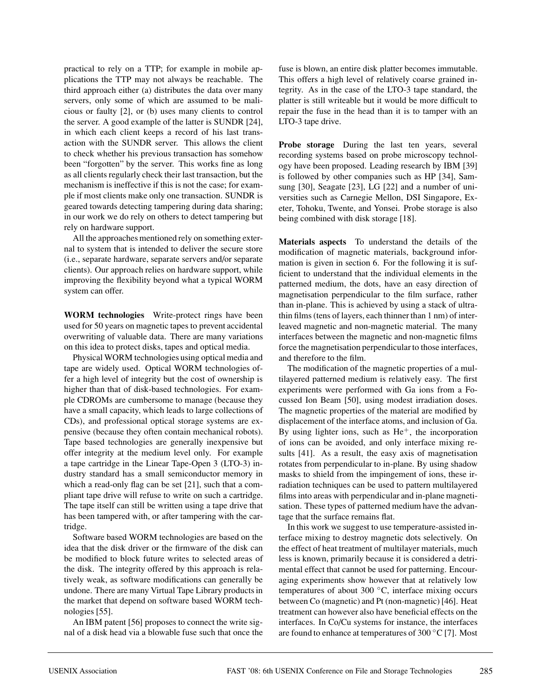practical to rely on a TTP; for example in mobile applications the TTP may not always be reachable. The third approach either (a) distributes the data over many servers, only some of which are assumed to be malicious or faulty [2], or (b) uses many clients to control the server. A good example of the latter is SUNDR [24], in which each client keeps a record of his last transaction with the SUNDR server. This allows the client to check whether his previous transaction has somehow been "forgotten" by the server. This works fine as long as all clients regularly check their last transaction, but the mechanism is ineffective if this is not the case; for example if most clients make only one transaction. SUNDR is geared towards detecting tampering during data sharing; in our work we do rely on others to detect tampering but rely on hardware support.

All the approaches mentioned rely on something external to system that is intended to deliver the secure store (i.e., separate hardware, separate servers and/or separate clients). Our approach relies on hardware support, while improving the flexibility beyond what a typical WORM system can offer.

**WORM technologies** Write-protect rings have been used for 50 years on magnetic tapes to prevent accidental overwriting of valuable data. There are many variations on this idea to protect disks, tapes and optical media.

Physical WORM technologies using optical media and tape are widely used. Optical WORM technologies offer a high level of integrity but the cost of ownership is higher than that of disk-based technologies. For example CDROMs are cumbersome to manage (because they have a small capacity, which leads to large collections of CDs), and professional optical storage systems are expensive (because they often contain mechanical robots). Tape based technologies are generally inexpensive but offer integrity at the medium level only. For example a tape cartridge in the Linear Tape-Open 3 (LTO-3) industry standard has a small semiconductor memory in which a read-only flag can be set [21], such that a compliant tape drive will refuse to write on such a cartridge. The tape itself can still be written using a tape drive that has been tampered with, or after tampering with the cartridge.

Software based WORM technologies are based on the idea that the disk driver or the firmware of the disk can be modified to block future writes to selected areas of the disk. The integrity offered by this approach is relatively weak, as software modifications can generally be undone. There are many Virtual Tape Library products in the market that depend on software based WORM technologies [55].

An IBM patent [56] proposes to connect the write signal of a disk head via a blowable fuse such that once the fuse is blown, an entire disk platter becomes immutable. This offers a high level of relatively coarse grained integrity. As in the case of the LTO-3 tape standard, the platter is still writeable but it would be more difficult to repair the fuse in the head than it is to tamper with an LTO-3 tape drive.

**Probe storage** During the last ten years, several recording systems based on probe microscopy technology have been proposed. Leading research by IBM [39] is followed by other companies such as HP [34], Samsung [30], Seagate [23], LG [22] and a number of universities such as Carnegie Mellon, DSI Singapore, Exeter, Tohoku, Twente, and Yonsei. Probe storage is also being combined with disk storage [18].

**Materials aspects** To understand the details of the modification of magnetic materials, background information is given in section 6. For the following it is sufficient to understand that the individual elements in the patterned medium, the dots, have an easy direction of magnetisation perpendicular to the film surface, rather than in-plane. This is achieved by using a stack of ultrathin films (tens of layers, each thinner than 1 nm) of interleaved magnetic and non-magnetic material. The many interfaces between the magnetic and non-magnetic films force the magnetisation perpendicular to those interfaces, and therefore to the film.

The modification of the magnetic properties of a multilayered patterned medium is relatively easy. The first experiments were performed with Ga ions from a Focussed Ion Beam [50], using modest irradiation doses. The magnetic properties of the material are modified by displacement of the interface atoms, and inclusion of Ga. By using lighter ions, such as  $He<sup>+</sup>$ , the incorporation of ions can be avoided, and only interface mixing results [41]. As a result, the easy axis of magnetisation rotates from perpendicular to in-plane. By using shadow masks to shield from the impingement of ions, these irradiation techniques can be used to pattern multilayered films into areas with perpendicular and in-plane magnetisation. These types of patterned medium have the advantage that the surface remains flat.

In this work we suggest to use temperature-assisted interface mixing to destroy magnetic dots selectively. On the effect of heat treatment of multilayer materials, much less is known, primarily because it is considered a detrimental effect that cannot be used for patterning. Encouraging experiments show however that at relatively low temperatures of about 300 ◦C, interface mixing occurs between Co (magnetic) and Pt (non-magnetic) [46]. Heat treatment can however also have beneficial effects on the interfaces. In Co/Cu systems for instance, the interfaces are found to enhance at temperatures of  $300\,^{\circ}$ C [7]. Most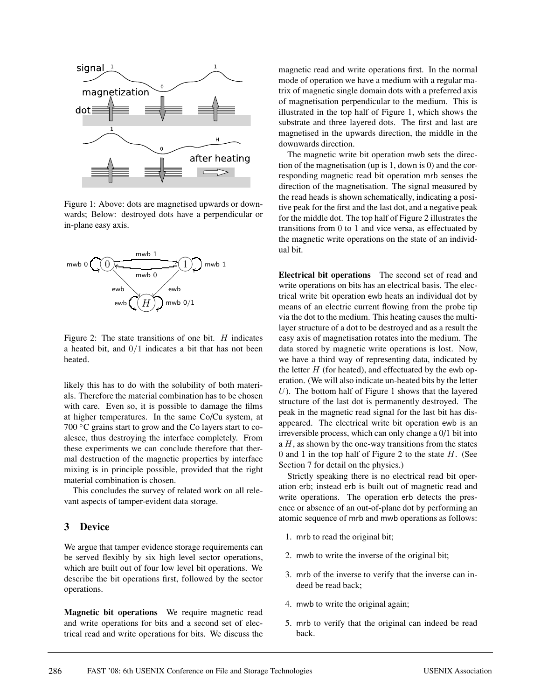

Figure 1: Above: dots are magnetised upwards or downwards; Below: destroyed dots have a perpendicular or in-plane easy axis.



Figure 2: The state transitions of one bit.  $H$  indicates a heated bit, and  $0/1$  indicates a bit that has not been heated.

likely this has to do with the solubility of both materials. Therefore the material combination has to be chosen with care. Even so, it is possible to damage the films at higher temperatures. In the same Co/Cu system, at 700 ◦C grains start to grow and the Co layers start to coalesce, thus destroying the interface completely. From these experiments we can conclude therefore that thermal destruction of the magnetic properties by interface mixing is in principle possible, provided that the right material combination is chosen.

This concludes the survey of related work on all relevant aspects of tamper-evident data storage.

#### **3 Device**

We argue that tamper evidence storage requirements can be served flexibly by six high level sector operations, which are built out of four low level bit operations. We describe the bit operations first, followed by the sector operations.

**Magnetic bit operations** We require magnetic read and write operations for bits and a second set of electrical read and write operations for bits. We discuss the

magnetic read and write operations first. In the normal mode of operation we have a medium with a regular matrix of magnetic single domain dots with a preferred axis of magnetisation perpendicular to the medium. This is illustrated in the top half of Figure 1, which shows the substrate and three layered dots. The first and last are magnetised in the upwards direction, the middle in the downwards direction.

The magnetic write bit operation mwb sets the direction of the magnetisation (up is 1, down is 0) and the corresponding magnetic read bit operation mrb senses the direction of the magnetisation. The signal measured by the read heads is shown schematically, indicating a positive peak for the first and the last dot, and a negative peak for the middle dot. The top half of Figure 2 illustrates the transitions from 0 to 1 and vice versa, as effectuated by the magnetic write operations on the state of an individual bit.

**Electrical bit operations** The second set of read and write operations on bits has an electrical basis. The electrical write bit operation ewb heats an individual dot by means of an electric current flowing from the probe tip via the dot to the medium. This heating causes the multilayer structure of a dot to be destroyed and as a result the easy axis of magnetisation rotates into the medium. The data stored by magnetic write operations is lost. Now, we have a third way of representing data, indicated by the letter  $H$  (for heated), and effectuated by the ewb operation. (We will also indicate un-heated bits by the letter  $U$ ). The bottom half of Figure 1 shows that the layered structure of the last dot is permanently destroyed. The peak in the magnetic read signal for the last bit has disappeared. The electrical write bit operation ewb is an irreversible process, which can only change a 0/1 bit into a  $H$ , as shown by the one-way transitions from the states 0 and 1 in the top half of Figure 2 to the state  $H$ . (See Section 7 for detail on the physics.)

Strictly speaking there is no electrical read bit operation erb; instead erb is built out of magnetic read and write operations. The operation erb detects the presence or absence of an out-of-plane dot by performing an atomic sequence of mrb and mwb operations as follows:

- 1. mrb to read the original bit;
- 2. mwb to write the inverse of the original bit;
- 3. mrb of the inverse to verify that the inverse can indeed be read back;
- 4. mwb to write the original again;
- 5. mrb to verify that the original can indeed be read back.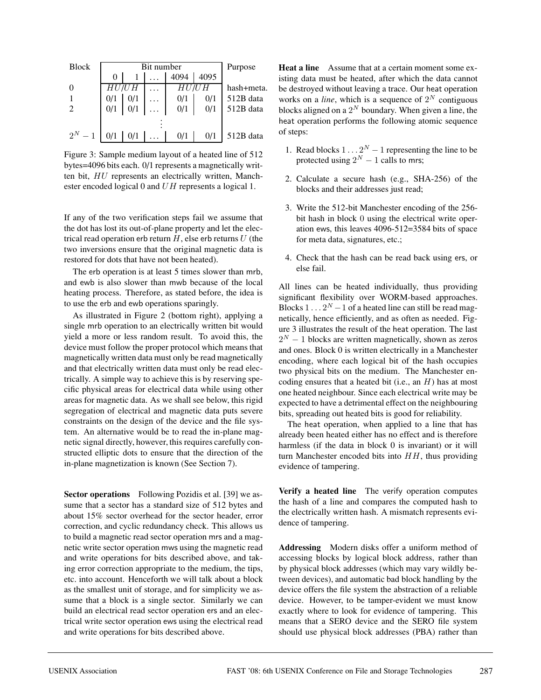| <b>Block</b> |     | Bit number | Purpose |      |            |
|--------------|-----|------------|---------|------|------------|
|              | 0   |            | 4094    | 4095 |            |
|              |     | HU/UH      | HU/UH   |      | hash+meta. |
|              | 0/1 | 0/1        | 0/1     | 0/1  | 512B data  |
| 2            | 0/1 | 0/1        | 0/1     | 0/1  | 512B data  |
|              |     |            |         |      |            |
| $2^N - 1$    | 0/1 | 0/1        | 0/1     | 0/1  | 512B data  |

Figure 3: Sample medium layout of a heated line of 512 bytes=4096 bits each. 0/1 represents a magnetically written bit, HU represents an electrically written, Manchester encoded logical 0 and UH represents a logical 1.

If any of the two verification steps fail we assume that the dot has lost its out-of-plane property and let the electrical read operation erb return  $H$ , else erb returns  $U$  (the two inversions ensure that the original magnetic data is restored for dots that have not been heated).

The erb operation is at least 5 times slower than mrb, and ewb is also slower than mwb because of the local heating process. Therefore, as stated before, the idea is to use the erb and ewb operations sparingly.

As illustrated in Figure 2 (bottom right), applying a single mrb operation to an electrically written bit would yield a more or less random result. To avoid this, the device must follow the proper protocol which means that magnetically written data must only be read magnetically and that electrically written data must only be read electrically. A simple way to achieve this is by reserving specific physical areas for electrical data while using other areas for magnetic data. As we shall see below, this rigid segregation of electrical and magnetic data puts severe constraints on the design of the device and the file system. An alternative would be to read the in-plane magnetic signal directly, however, this requires carefully constructed elliptic dots to ensure that the direction of the in-plane magnetization is known (See Section 7).

**Sector operations** Following Pozidis et al. [39] we assume that a sector has a standard size of 512 bytes and about 15% sector overhead for the sector header, error correction, and cyclic redundancy check. This allows us to build a magnetic read sector operation mrs and a magnetic write sector operation mws using the magnetic read and write operations for bits described above, and taking error correction appropriate to the medium, the tips, etc. into account. Henceforth we will talk about a block as the smallest unit of storage, and for simplicity we assume that a block is a single sector. Similarly we can build an electrical read sector operation ers and an electrical write sector operation ews using the electrical read and write operations for bits described above.

**Heat a line** Assume that at a certain moment some existing data must be heated, after which the data cannot be destroyed without leaving a trace. Our heat operation works on a *line*, which is a sequence of  $2^N$  contiguous blocks aligned on a  $2^N$  boundary. When given a line, the heat operation performs the following atomic sequence of steps:

- 1. Read blocks  $1 \nldots 2^N 1$  representing the line to be protected using  $2^N - 1$  calls to mrs;
- 2. Calculate a secure hash (e.g., SHA-256) of the blocks and their addresses just read;
- 3. Write the 512-bit Manchester encoding of the 256 bit hash in block 0 using the electrical write operation ews, this leaves 4096-512=3584 bits of space for meta data, signatures, etc.;
- 4. Check that the hash can be read back using ers, or else fail.

All lines can be heated individually, thus providing significant flexibility over WORM-based approaches. Blocks  $1 \n\t\ldots 2^N - 1$  of a heated line can still be read magnetically, hence efficiently, and as often as needed. Figure 3 illustrates the result of the heat operation. The last  $2<sup>N</sup> - 1$  blocks are written magnetically, shown as zeros and ones. Block 0 is written electrically in a Manchester encoding, where each logical bit of the hash occupies two physical bits on the medium. The Manchester encoding ensures that a heated bit (i.e., an  $H$ ) has at most one heated neighbour. Since each electrical write may be expected to have a detrimental effect on the neighbouring bits, spreading out heated bits is good for reliability.

The heat operation, when applied to a line that has already been heated either has no effect and is therefore harmless (if the data in block 0 is invariant) or it will turn Manchester encoded bits into  $HH$ , thus providing evidence of tampering.

**Verify a heated line** The verify operation computes the hash of a line and compares the computed hash to the electrically written hash. A mismatch represents evidence of tampering.

**Addressing** Modern disks offer a uniform method of accessing blocks by logical block address, rather than by physical block addresses (which may vary wildly between devices), and automatic bad block handling by the device offers the file system the abstraction of a reliable device. However, to be tamper-evident we must know exactly where to look for evidence of tampering. This means that a SERO device and the SERO file system should use physical block addresses (PBA) rather than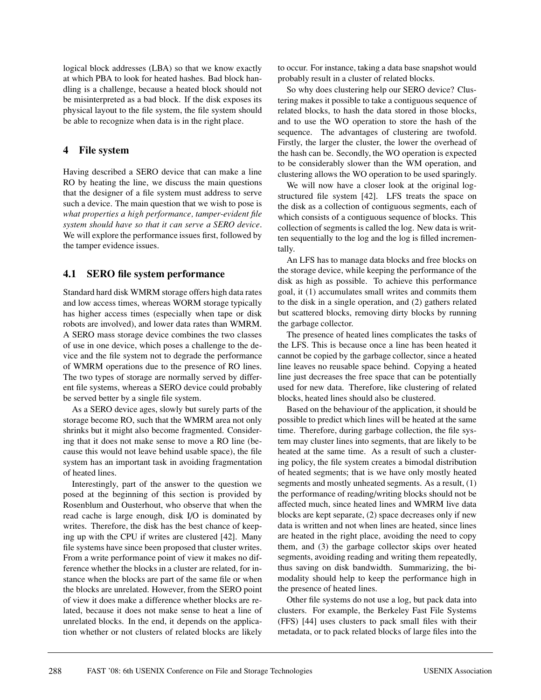logical block addresses (LBA) so that we know exactly at which PBA to look for heated hashes. Bad block handling is a challenge, because a heated block should not be misinterpreted as a bad block. If the disk exposes its physical layout to the file system, the file system should be able to recognize when data is in the right place.

#### **4 File system**

Having described a SERO device that can make a line RO by heating the line, we discuss the main questions that the designer of a file system must address to serve such a device. The main question that we wish to pose is *what properties a high performance, tamper-evident file system should have so that it can serve a SERO device*. We will explore the performance issues first, followed by the tamper evidence issues.

## **4.1 SERO file system performance**

Standard hard disk WMRM storage offers high data rates and low access times, whereas WORM storage typically has higher access times (especially when tape or disk robots are involved), and lower data rates than WMRM. A SERO mass storage device combines the two classes of use in one device, which poses a challenge to the device and the file system not to degrade the performance of WMRM operations due to the presence of RO lines. The two types of storage are normally served by different file systems, whereas a SERO device could probably be served better by a single file system.

As a SERO device ages, slowly but surely parts of the storage become RO, such that the WMRM area not only shrinks but it might also become fragmented. Considering that it does not make sense to move a RO line (because this would not leave behind usable space), the file system has an important task in avoiding fragmentation of heated lines.

Interestingly, part of the answer to the question we posed at the beginning of this section is provided by Rosenblum and Ousterhout, who observe that when the read cache is large enough, disk I/O is dominated by writes. Therefore, the disk has the best chance of keeping up with the CPU if writes are clustered [42]. Many file systems have since been proposed that cluster writes. From a write performance point of view it makes no difference whether the blocks in a cluster are related, for instance when the blocks are part of the same file or when the blocks are unrelated. However, from the SERO point of view it does make a difference whether blocks are related, because it does not make sense to heat a line of unrelated blocks. In the end, it depends on the application whether or not clusters of related blocks are likely to occur. For instance, taking a data base snapshot would probably result in a cluster of related blocks.

So why does clustering help our SERO device? Clustering makes it possible to take a contiguous sequence of related blocks, to hash the data stored in those blocks, and to use the WO operation to store the hash of the sequence. The advantages of clustering are twofold. Firstly, the larger the cluster, the lower the overhead of the hash can be. Secondly, the WO operation is expected to be considerably slower than the WM operation, and clustering allows the WO operation to be used sparingly.

We will now have a closer look at the original logstructured file system [42]. LFS treats the space on the disk as a collection of contiguous segments, each of which consists of a contiguous sequence of blocks. This collection of segments is called the log. New data is written sequentially to the log and the log is filled incrementally.

An LFS has to manage data blocks and free blocks on the storage device, while keeping the performance of the disk as high as possible. To achieve this performance goal, it (1) accumulates small writes and commits them to the disk in a single operation, and (2) gathers related but scattered blocks, removing dirty blocks by running the garbage collector.

The presence of heated lines complicates the tasks of the LFS. This is because once a line has been heated it cannot be copied by the garbage collector, since a heated line leaves no reusable space behind. Copying a heated line just decreases the free space that can be potentially used for new data. Therefore, like clustering of related blocks, heated lines should also be clustered.

Based on the behaviour of the application, it should be possible to predict which lines will be heated at the same time. Therefore, during garbage collection, the file system may cluster lines into segments, that are likely to be heated at the same time. As a result of such a clustering policy, the file system creates a bimodal distribution of heated segments; that is we have only mostly heated segments and mostly unheated segments. As a result, (1) the performance of reading/writing blocks should not be affected much, since heated lines and WMRM live data blocks are kept separate, (2) space decreases only if new data is written and not when lines are heated, since lines are heated in the right place, avoiding the need to copy them, and (3) the garbage collector skips over heated segments, avoiding reading and writing them repeatedly, thus saving on disk bandwidth. Summarizing, the bimodality should help to keep the performance high in the presence of heated lines.

Other file systems do not use a log, but pack data into clusters. For example, the Berkeley Fast File Systems (FFS) [44] uses clusters to pack small files with their metadata, or to pack related blocks of large files into the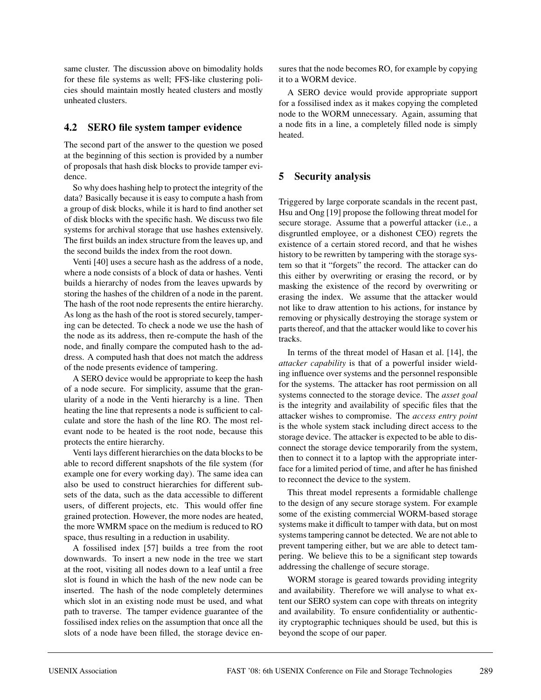same cluster. The discussion above on bimodality holds for these file systems as well; FFS-like clustering policies should maintain mostly heated clusters and mostly unheated clusters.

## **4.2 SERO file system tamper evidence**

The second part of the answer to the question we posed at the beginning of this section is provided by a number of proposals that hash disk blocks to provide tamper evidence.

So why does hashing help to protect the integrity of the data? Basically because it is easy to compute a hash from a group of disk blocks, while it is hard to find another set of disk blocks with the specific hash. We discuss two file systems for archival storage that use hashes extensively. The first builds an index structure from the leaves up, and the second builds the index from the root down.

Venti [40] uses a secure hash as the address of a node, where a node consists of a block of data or hashes. Venti builds a hierarchy of nodes from the leaves upwards by storing the hashes of the children of a node in the parent. The hash of the root node represents the entire hierarchy. As long as the hash of the root is stored securely, tampering can be detected. To check a node we use the hash of the node as its address, then re-compute the hash of the node, and finally compare the computed hash to the address. A computed hash that does not match the address of the node presents evidence of tampering.

A SERO device would be appropriate to keep the hash of a node secure. For simplicity, assume that the granularity of a node in the Venti hierarchy is a line. Then heating the line that represents a node is sufficient to calculate and store the hash of the line RO. The most relevant node to be heated is the root node, because this protects the entire hierarchy.

Venti lays different hierarchies on the data blocks to be able to record different snapshots of the file system (for example one for every working day). The same idea can also be used to construct hierarchies for different subsets of the data, such as the data accessible to different users, of different projects, etc. This would offer fine grained protection. However, the more nodes are heated, the more WMRM space on the medium is reduced to RO space, thus resulting in a reduction in usability.

A fossilised index [57] builds a tree from the root downwards. To insert a new node in the tree we start at the root, visiting all nodes down to a leaf until a free slot is found in which the hash of the new node can be inserted. The hash of the node completely determines which slot in an existing node must be used, and what path to traverse. The tamper evidence guarantee of the fossilised index relies on the assumption that once all the slots of a node have been filled, the storage device en-

sures that the node becomes RO, for example by copying it to a WORM device.

A SERO device would provide appropriate support for a fossilised index as it makes copying the completed node to the WORM unnecessary. Again, assuming that a node fits in a line, a completely filled node is simply heated.

# **5 Security analysis**

Triggered by large corporate scandals in the recent past, Hsu and Ong [19] propose the following threat model for secure storage. Assume that a powerful attacker (i.e., a disgruntled employee, or a dishonest CEO) regrets the existence of a certain stored record, and that he wishes history to be rewritten by tampering with the storage system so that it "forgets" the record. The attacker can do this either by overwriting or erasing the record, or by masking the existence of the record by overwriting or erasing the index. We assume that the attacker would not like to draw attention to his actions, for instance by removing or physically destroying the storage system or parts thereof, and that the attacker would like to cover his tracks.

In terms of the threat model of Hasan et al. [14], the *attacker capability* is that of a powerful insider wielding influence over systems and the personnel responsible for the systems. The attacker has root permission on all systems connected to the storage device. The *asset goal* is the integrity and availability of specific files that the attacker wishes to compromise. The *access entry point* is the whole system stack including direct access to the storage device. The attacker is expected to be able to disconnect the storage device temporarily from the system, then to connect it to a laptop with the appropriate interface for a limited period of time, and after he has finished to reconnect the device to the system.

This threat model represents a formidable challenge to the design of any secure storage system. For example some of the existing commercial WORM-based storage systems make it difficult to tamper with data, but on most systems tampering cannot be detected. We are not able to prevent tampering either, but we are able to detect tampering. We believe this to be a significant step towards addressing the challenge of secure storage.

WORM storage is geared towards providing integrity and availability. Therefore we will analyse to what extent our SERO system can cope with threats on integrity and availability. To ensure confidentiality or authenticity cryptographic techniques should be used, but this is beyond the scope of our paper.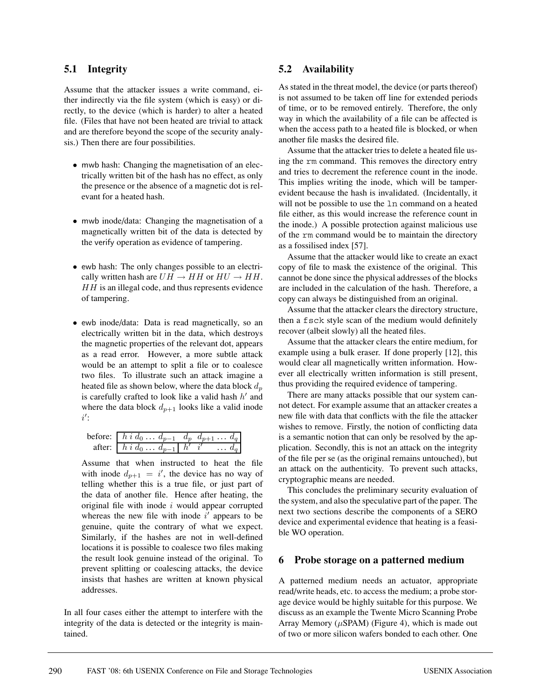#### **5.1 Integrity**

Assume that the attacker issues a write command, either indirectly via the file system (which is easy) or directly, to the device (which is harder) to alter a heated file. (Files that have not been heated are trivial to attack and are therefore beyond the scope of the security analysis.) Then there are four possibilities.

- mwb hash: Changing the magnetisation of an electrically written bit of the hash has no effect, as only the presence or the absence of a magnetic dot is relevant for a heated hash.
- mwb inode/data: Changing the magnetisation of a magnetically written bit of the data is detected by the verify operation as evidence of tampering.
- ewb hash: The only changes possible to an electrically written hash are  $UH \rightarrow HH$  or  $HU \rightarrow HH$ .  $HH$  is an illegal code, and thus represents evidence of tampering.
- ewb inode/data: Data is read magnetically, so an electrically written bit in the data, which destroys the magnetic properties of the relevant dot, appears as a read error. However, a more subtle attack would be an attempt to split a file or to coalesce two files. To illustrate such an attack imagine a heated file as shown below, where the data block  $d_p$ is carefully crafted to look like a valid hash  $h'$  and where the data block  $d_{p+1}$  looks like a valid inode  $i'$ :

| before: $h \, i \, d_0 \, \dots \, d_{p-1} \, d_p \, d_{p+1} \, \dots \, d_q$ |                |  |
|-------------------------------------------------------------------------------|----------------|--|
| after: $\boxed{h \, i \, d_0 \, \ldots \, d_{p-1}} \, h' \, i'$               | $\ldots$ $d_q$ |  |

Assume that when instructed to heat the file with inode  $d_{p+1} = i'$ , the device has no way of telling whether this is a true file, or just part of the data of another file. Hence after heating, the original file with inode  $i$  would appear corrupted whereas the new file with inode  $i'$  appears to be genuine, quite the contrary of what we expect. Similarly, if the hashes are not in well-defined locations it is possible to coalesce two files making the result look genuine instead of the original. To prevent splitting or coalescing attacks, the device insists that hashes are written at known physical addresses.

In all four cases either the attempt to interfere with the integrity of the data is detected or the integrity is maintained.

## **5.2 Availability**

As stated in the threat model, the device (or parts thereof) is not assumed to be taken off line for extended periods of time, or to be removed entirely. Therefore, the only way in which the availability of a file can be affected is when the access path to a heated file is blocked, or when another file masks the desired file.

Assume that the attacker tries to delete a heated file using the rm command. This removes the directory entry and tries to decrement the reference count in the inode. This implies writing the inode, which will be tamperevident because the hash is invalidated. (Incidentally, it will not be possible to use the ln command on a heated file either, as this would increase the reference count in the inode.) A possible protection against malicious use of the rm command would be to maintain the directory as a fossilised index [57].

Assume that the attacker would like to create an exact copy of file to mask the existence of the original. This cannot be done since the physical addresses of the blocks are included in the calculation of the hash. Therefore, a copy can always be distinguished from an original.

Assume that the attacker clears the directory structure, then a fsck style scan of the medium would definitely recover (albeit slowly) all the heated files.

Assume that the attacker clears the entire medium, for example using a bulk eraser. If done properly [12], this would clear all magnetically written information. However all electrically written information is still present, thus providing the required evidence of tampering.

There are many attacks possible that our system cannot detect. For example assume that an attacker creates a new file with data that conflicts with the file the attacker wishes to remove. Firstly, the notion of conflicting data is a semantic notion that can only be resolved by the application. Secondly, this is not an attack on the integrity of the file per se (as the original remains untouched), but an attack on the authenticity. To prevent such attacks, cryptographic means are needed.

This concludes the preliminary security evaluation of the system, and also the speculative part of the paper. The next two sections describe the components of a SERO device and experimental evidence that heating is a feasible WO operation.

#### **6 Probe storage on a patterned medium**

A patterned medium needs an actuator, appropriate read/write heads, etc. to access the medium; a probe storage device would be highly suitable for this purpose. We discuss as an example the Twente Micro Scanning Probe Array Memory ( $\mu$ SPAM) (Figure 4), which is made out of two or more silicon wafers bonded to each other. One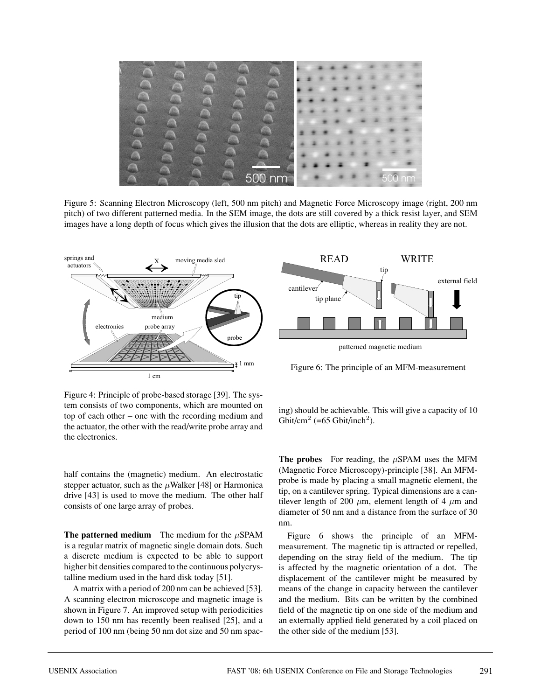

Figure 5: Scanning Electron Microscopy (left, 500 nm pitch) and Magnetic Force Microscopy image (right, 200 nm pitch) of two different patterned media. In the SEM image, the dots are still covered by a thick resist layer, and SEM images have a long depth of focus which gives the illusion that the dots are elliptic, whereas in reality they are not.



Figure 4: Principle of probe-based storage [39]. The system consists of two components, which are mounted on top of each other – one with the recording medium and the actuator, the other with the read/write probe array and the electronics.

half contains the (magnetic) medium. An electrostatic stepper actuator, such as the  $\mu$ Walker [48] or Harmonica drive [43] is used to move the medium. The other half consists of one large array of probes.

**The patterned medium** The medium for the  $\mu$ SPAM is a regular matrix of magnetic single domain dots. Such a discrete medium is expected to be able to support higher bit densities compared to the continuous polycrystalline medium used in the hard disk today [51].

A matrix with a period of 200 nm can be achieved [53]. A scanning electron microscope and magnetic image is shown in Figure 7. An improved setup with periodicities down to 150 nm has recently been realised [25], and a period of 100 nm (being 50 nm dot size and 50 nm spac-



patterned magnetic medium

Figure 6: The principle of an MFM-measurement

ing) should be achievable. This will give a capacity of 10 Gbit/cm<sup>2</sup> (=65 Gbit/inch<sup>2</sup>).

**The probes** For reading, the μSPAM uses the MFM (Magnetic Force Microscopy)-principle [38]. An MFMprobe is made by placing a small magnetic element, the tip, on a cantilever spring. Typical dimensions are a cantilever length of 200  $\mu$ m, element length of 4  $\mu$ m and diameter of 50 nm and a distance from the surface of 30 nm.

Figure 6 shows the principle of an MFMmeasurement. The magnetic tip is attracted or repelled, depending on the stray field of the medium. The tip is affected by the magnetic orientation of a dot. The displacement of the cantilever might be measured by means of the change in capacity between the cantilever and the medium. Bits can be written by the combined field of the magnetic tip on one side of the medium and an externally applied field generated by a coil placed on the other side of the medium [53].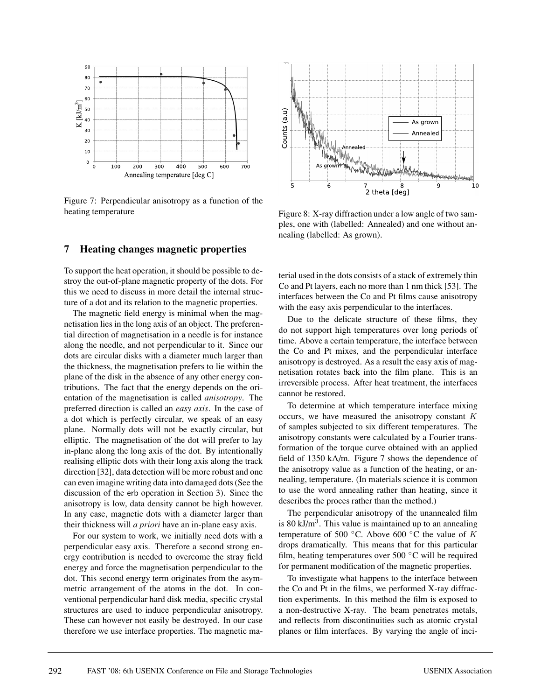

Figure 7: Perpendicular anisotropy as a function of the heating temperature

#### **7 Heating changes magnetic properties**

To support the heat operation, it should be possible to destroy the out-of-plane magnetic property of the dots. For this we need to discuss in more detail the internal structure of a dot and its relation to the magnetic properties.

The magnetic field energy is minimal when the magnetisation lies in the long axis of an object. The preferential direction of magnetisation in a needle is for instance along the needle, and not perpendicular to it. Since our dots are circular disks with a diameter much larger than the thickness, the magnetisation prefers to lie within the plane of the disk in the absence of any other energy contributions. The fact that the energy depends on the orientation of the magnetisation is called *anisotropy*. The preferred direction is called an *easy axis*. In the case of a dot which is perfectly circular, we speak of an easy plane. Normally dots will not be exactly circular, but elliptic. The magnetisation of the dot will prefer to lay in-plane along the long axis of the dot. By intentionally realising elliptic dots with their long axis along the track direction [32], data detection will be more robust and one can even imagine writing data into damaged dots (See the discussion of the erb operation in Section 3). Since the anisotropy is low, data density cannot be high however. In any case, magnetic dots with a diameter larger than their thickness will *a priori* have an in-plane easy axis.

For our system to work, we initially need dots with a perpendicular easy axis. Therefore a second strong energy contribution is needed to overcome the stray field energy and force the magnetisation perpendicular to the dot. This second energy term originates from the asymmetric arrangement of the atoms in the dot. In conventional perpendicular hard disk media, specific crystal structures are used to induce perpendicular anisotropy. These can however not easily be destroyed. In our case therefore we use interface properties. The magnetic ma-



Figure 8: X-ray diffraction under a low angle of two samples, one with (labelled: Annealed) and one without annealing (labelled: As grown).

terial used in the dots consists of a stack of extremely thin Co and Pt layers, each no more than 1 nm thick [53]. The interfaces between the Co and Pt films cause anisotropy with the easy axis perpendicular to the interfaces.

Due to the delicate structure of these films, they do not support high temperatures over long periods of time. Above a certain temperature, the interface between the Co and Pt mixes, and the perpendicular interface anisotropy is destroyed. As a result the easy axis of magnetisation rotates back into the film plane. This is an irreversible process. After heat treatment, the interfaces cannot be restored.

To determine at which temperature interface mixing occurs, we have measured the anisotropy constant K of samples subjected to six different temperatures. The anisotropy constants were calculated by a Fourier transformation of the torque curve obtained with an applied field of 1350 kA/m. Figure 7 shows the dependence of the anisotropy value as a function of the heating, or annealing, temperature. (In materials science it is common to use the word annealing rather than heating, since it describes the proces rather than the method.)

The perpendicular anisotropy of the unannealed film is 80 kJ/m<sup>3</sup>. This value is maintained up to an annealing temperature of 500  $\degree$ C. Above 600  $\degree$ C the value of K drops dramatically. This means that for this particular film, heating temperatures over  $500\text{ °C}$  will be required for permanent modification of the magnetic properties.

To investigate what happens to the interface between the Co and Pt in the films, we performed X-ray diffraction experiments. In this method the film is exposed to a non-destructive X-ray. The beam penetrates metals, and reflects from discontinuities such as atomic crystal planes or film interfaces. By varying the angle of inci-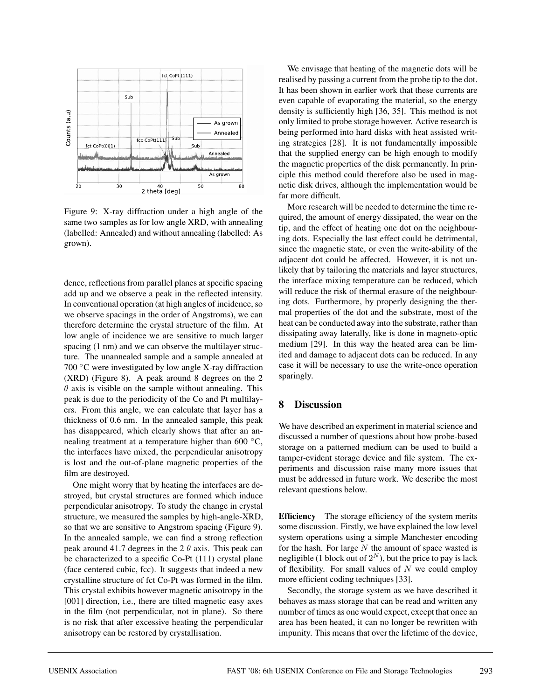

Figure 9: X-ray diffraction under a high angle of the same two samples as for low angle XRD, with annealing (labelled: Annealed) and without annealing (labelled: As grown).

dence, reflections from parallel planes at specific spacing add up and we observe a peak in the reflected intensity. In conventional operation (at high angles of incidence, so we observe spacings in the order of Angstroms), we can therefore determine the crystal structure of the film. At low angle of incidence we are sensitive to much larger spacing (1 nm) and we can observe the multilayer structure. The unannealed sample and a sample annealed at 700  $\degree$ C were investigated by low angle X-ray diffraction (XRD) (Figure 8). A peak around 8 degrees on the 2  $\theta$  axis is visible on the sample without annealing. This peak is due to the periodicity of the Co and Pt multilayers. From this angle, we can calculate that layer has a thickness of 0.6 nm. In the annealed sample, this peak has disappeared, which clearly shows that after an annealing treatment at a temperature higher than 600 °C, the interfaces have mixed, the perpendicular anisotropy is lost and the out-of-plane magnetic properties of the film are destroyed.

One might worry that by heating the interfaces are destroyed, but crystal structures are formed which induce perpendicular anisotropy. To study the change in crystal structure, we measured the samples by high-angle-XRD, so that we are sensitive to Angstrom spacing (Figure 9). In the annealed sample, we can find a strong reflection peak around 41.7 degrees in the 2  $\theta$  axis. This peak can be characterized to a specific Co-Pt (111) crystal plane (face centered cubic, fcc). It suggests that indeed a new crystalline structure of fct Co-Pt was formed in the film. This crystal exhibits however magnetic anisotropy in the [001] direction, i.e., there are tilted magnetic easy axes in the film (not perpendicular, not in plane). So there is no risk that after excessive heating the perpendicular anisotropy can be restored by crystallisation.

We envisage that heating of the magnetic dots will be realised by passing a current from the probe tip to the dot. It has been shown in earlier work that these currents are even capable of evaporating the material, so the energy density is sufficiently high [36, 35]. This method is not only limited to probe storage however. Active research is being performed into hard disks with heat assisted writing strategies [28]. It is not fundamentally impossible that the supplied energy can be high enough to modify the magnetic properties of the disk permanently. In principle this method could therefore also be used in magnetic disk drives, although the implementation would be far more difficult.

More research will be needed to determine the time required, the amount of energy dissipated, the wear on the tip, and the effect of heating one dot on the neighbouring dots. Especially the last effect could be detrimental, since the magnetic state, or even the write-ability of the adjacent dot could be affected. However, it is not unlikely that by tailoring the materials and layer structures, the interface mixing temperature can be reduced, which will reduce the risk of thermal erasure of the neighbouring dots. Furthermore, by properly designing the thermal properties of the dot and the substrate, most of the heat can be conducted away into the substrate, rather than dissipating away laterally, like is done in magneto-optic medium [29]. In this way the heated area can be limited and damage to adjacent dots can be reduced. In any case it will be necessary to use the write-once operation sparingly.

## **8 Discussion**

We have described an experiment in material science and discussed a number of questions about how probe-based storage on a patterned medium can be used to build a tamper-evident storage device and file system. The experiments and discussion raise many more issues that must be addressed in future work. We describe the most relevant questions below.

**Efficiency** The storage efficiency of the system merits some discussion. Firstly, we have explained the low level system operations using a simple Manchester encoding for the hash. For large  $N$  the amount of space wasted is negligible (1 block out of  $2^N$ ), but the price to pay is lack of flexibility. For small values of  $N$  we could employ more efficient coding techniques [33].

Secondly, the storage system as we have described it behaves as mass storage that can be read and written any number of times as one would expect, except that once an area has been heated, it can no longer be rewritten with impunity. This means that over the lifetime of the device,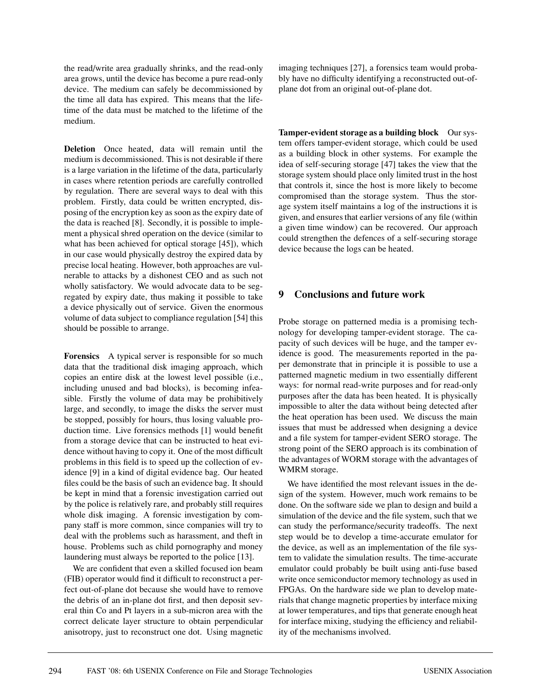the read/write area gradually shrinks, and the read-only area grows, until the device has become a pure read-only device. The medium can safely be decommissioned by the time all data has expired. This means that the lifetime of the data must be matched to the lifetime of the medium.

**Deletion** Once heated, data will remain until the medium is decommissioned. This is not desirable if there is a large variation in the lifetime of the data, particularly in cases where retention periods are carefully controlled by regulation. There are several ways to deal with this problem. Firstly, data could be written encrypted, disposing of the encryption key as soon as the expiry date of the data is reached [8]. Secondly, it is possible to implement a physical shred operation on the device (similar to what has been achieved for optical storage [45]), which in our case would physically destroy the expired data by precise local heating. However, both approaches are vulnerable to attacks by a dishonest CEO and as such not wholly satisfactory. We would advocate data to be segregated by expiry date, thus making it possible to take a device physically out of service. Given the enormous volume of data subject to compliance regulation [54] this should be possible to arrange.

**Forensics** A typical server is responsible for so much data that the traditional disk imaging approach, which copies an entire disk at the lowest level possible (i.e., including unused and bad blocks), is becoming infeasible. Firstly the volume of data may be prohibitively large, and secondly, to image the disks the server must be stopped, possibly for hours, thus losing valuable production time. Live forensics methods [1] would benefit from a storage device that can be instructed to heat evidence without having to copy it. One of the most difficult problems in this field is to speed up the collection of evidence [9] in a kind of digital evidence bag. Our heated files could be the basis of such an evidence bag. It should be kept in mind that a forensic investigation carried out by the police is relatively rare, and probably still requires whole disk imaging. A forensic investigation by company staff is more common, since companies will try to deal with the problems such as harassment, and theft in house. Problems such as child pornography and money laundering must always be reported to the police [13].

We are confident that even a skilled focused ion beam (FIB) operator would find it difficult to reconstruct a perfect out-of-plane dot because she would have to remove the debris of an in-plane dot first, and then deposit several thin Co and Pt layers in a sub-micron area with the correct delicate layer structure to obtain perpendicular anisotropy, just to reconstruct one dot. Using magnetic

imaging techniques [27], a forensics team would probably have no difficulty identifying a reconstructed out-ofplane dot from an original out-of-plane dot.

**Tamper-evident storage as a building block** Our system offers tamper-evident storage, which could be used as a building block in other systems. For example the idea of self-securing storage [47] takes the view that the storage system should place only limited trust in the host that controls it, since the host is more likely to become compromised than the storage system. Thus the storage system itself maintains a log of the instructions it is given, and ensures that earlier versions of any file (within a given time window) can be recovered. Our approach could strengthen the defences of a self-securing storage device because the logs can be heated.

## **9 Conclusions and future work**

Probe storage on patterned media is a promising technology for developing tamper-evident storage. The capacity of such devices will be huge, and the tamper evidence is good. The measurements reported in the paper demonstrate that in principle it is possible to use a patterned magnetic medium in two essentially different ways: for normal read-write purposes and for read-only purposes after the data has been heated. It is physically impossible to alter the data without being detected after the heat operation has been used. We discuss the main issues that must be addressed when designing a device and a file system for tamper-evident SERO storage. The strong point of the SERO approach is its combination of the advantages of WORM storage with the advantages of WMRM storage.

We have identified the most relevant issues in the design of the system. However, much work remains to be done. On the software side we plan to design and build a simulation of the device and the file system, such that we can study the performance/security tradeoffs. The next step would be to develop a time-accurate emulator for the device, as well as an implementation of the file system to validate the simulation results. The time-accurate emulator could probably be built using anti-fuse based write once semiconductor memory technology as used in FPGAs. On the hardware side we plan to develop materials that change magnetic properties by interface mixing at lower temperatures, and tips that generate enough heat for interface mixing, studying the efficiency and reliability of the mechanisms involved.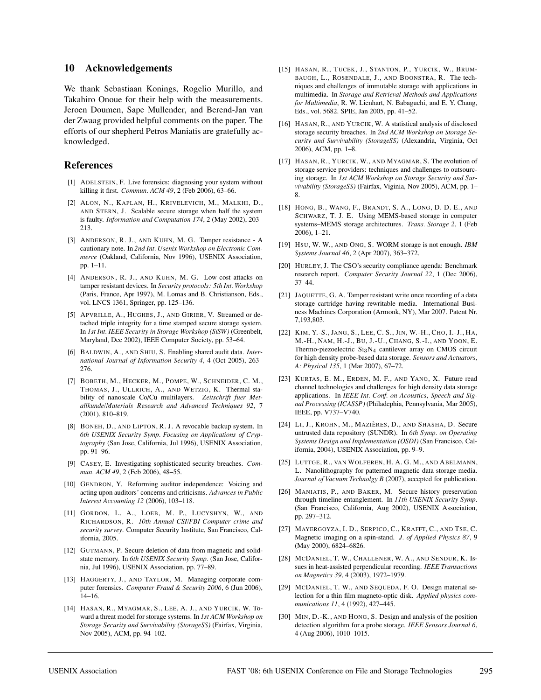#### **10 Acknowledgements**

We thank Sebastiaan Konings, Rogelio Murillo, and Takahiro Onoue for their help with the measurements. Jeroen Doumen, Sape Mullender, and Berend-Jan van der Zwaag provided helpful comments on the paper. The efforts of our shepherd Petros Maniatis are gratefully acknowledged.

#### **References**

- [1] ADELSTEIN, F. Live forensics: diagnosing your system without killing it first. *Commun. ACM 49*, 2 (Feb 2006), 63–66.
- [2] ALON, N., KAPLAN, H., KRIVELEVICH, M., MALKHI, D., AND STERN, J. Scalable secure storage when half the system is faulty. *Information and Computation 174*, 2 (May 2002), 203– 213.
- [3] ANDERSON, R. J., AND KUHN, M. G. Tamper resistance A cautionary note. In *2nd Int. Usenix Workshop on Electronic Commerce* (Oakland, California, Nov 1996), USENIX Association, pp. 1–11.
- [4] ANDERSON, R. J., AND KUHN, M. G. Low cost attacks on tamper resistant devices. In *Security protocols: 5th Int. Workshop* (Paris, France, Apr 1997), M. Lomas and B. Christianson, Eds., vol. LNCS 1361, Springer, pp. 125–136.
- [5] APVRILLE, A., HUGHES, J., AND GIRIER, V. Streamed or detached triple integrity for a time stamped secure storage system. In *1st Int. IEEE Security in Storage Workshop (SiSW)* (Greenbelt, Maryland, Dec 2002), IEEE Computer Society, pp. 53–64.
- [6] BALDWIN, A., AND SHIU, S. Enabling shared audit data. *International Journal of Information Security 4*, 4 (Oct 2005), 263– 276.
- [7] BOBETH, M., HECKER, M., POMPE, W., SCHNEIDER, C. M., THOMAS, J., ULLRICH, A., AND WETZIG, K. Thermal stability of nanoscale Co/Cu multilayers. *Zeitschrift fuer Metallkunde/Materials Research and Advanced Techniques 92*, 7 (2001), 810–819.
- [8] BONEH, D., AND LIPTON, R. J. A revocable backup system. In *6th USENIX Security Symp. Focusing on Applications of Cryptography* (San Jose, California, Jul 1996), USENIX Association, pp. 91–96.
- [9] CASEY, E. Investigating sophisticated security breaches. *Commun. ACM 49*, 2 (Feb 2006), 48–55.
- [10] GENDRON, Y. Reforming auditor independence: Voicing and acting upon auditors' concerns and criticisms. *Advances in Public Interest Accounting 12* (2006), 103–118.
- [11] GORDON, L. A., LOEB, M. P., LUCYSHYN, W., AND RICHARDSON, R. *10th Annual CSI/FBI Computer crime and security survey*. Computer Security Institute, San Francisco, California, 2005.
- [12] GUTMANN, P. Secure deletion of data from magnetic and solidstate memory. In *6th USENIX Security Symp.* (San Jose, California, Jul 1996), USENIX Association, pp. 77–89.
- [13] HAGGERTY, J., AND TAYLOR, M. Managing corporate computer forensics. *Computer Fraud & Security 2006*, 6 (Jun 2006), 14–16.
- [14] HASAN, R., MYAGMAR, S., LEE, A. J., AND YURCIK, W. Toward a threat model for storage systems. In *1st ACM Workshop on Storage Security and Survivability (StorageSS)* (Fairfax, Virginia, Nov 2005), ACM, pp. 94–102.
- [15] HASAN, R., TUCEK, J., STANTON, P., YURCIK, W., BRUM-BAUGH, L., ROSENDALE, J., AND BOONSTRA, R. The techniques and challenges of immutable storage with applications in multimedia. In *Storage and Retrieval Methods and Applications for Multimedia*, R. W. Lienhart, N. Babaguchi, and E. Y. Chang, Eds., vol. 5682. SPIE, Jan 2005, pp. 41–52.
- [16] HASAN, R., AND YURCIK, W. A statistical analysis of disclosed storage security breaches. In *2nd ACM Workshop on Storage Security and Survivability (StorageSS)* (Alexandria, Virginia, Oct 2006), ACM, pp. 1–8.
- [17] HASAN, R., YURCIK, W., AND MYAGMAR, S. The evolution of storage service providers: techniques and challenges to outsourcing storage. In *1st ACM Workshop on Storage Security and Survivability (StorageSS)* (Fairfax, Viginia, Nov 2005), ACM, pp. 1– 8.
- [18] HONG, B., WANG, F., BRANDT, S. A., LONG, D. D. E., AND SCHWARZ, T. J. E. Using MEMS-based storage in computer systems–MEMS storage architectures. *Trans. Storage 2*, 1 (Feb 2006), 1–21.
- [19] HSU, W. W., AND ONG, S. WORM storage is not enough. *IBM Systems Journal 46*, 2 (Apr 2007), 363–372.
- [20] HURLEY, J. The CSO's security compliance agenda: Benchmark research report. *Computer Security Journal 22*, 1 (Dec 2006), 37–44.
- [21] JAQUETTE, G. A. Tamper resistant write once recording of a data storage cartridge having rewritable media. International Business Machines Corporation (Armonk, NY), Mar 2007. Patent Nr. 7,193,803.
- [22] KIM, Y.-S., JANG, S., LEE, C. S., JIN, W.-H., CHO, I.-J., HA, M.-H., NAM, H.-J., BU, J.-U., CHANG, S.-I., AND YOON, E. Thermo-piezoelectric Si<sub>3</sub>N<sub>4</sub> cantilever array on CMOS circuit for high density probe-based data storage. *Sensors and Actuators, A: Physical 135*, 1 (Mar 2007), 67–72.
- [23] KURTAS, E. M., ERDEN, M. F., AND YANG, X. Future read channel technologies and challenges for high density data storage applications. In *IEEE Int. Conf. on Acoustics, Speech and Signal Processing (ICASSP)* (Philadephia, Pennsylvania, Mar 2005), IEEE, pp. V737–V740.
- [24] LI, J., KROHN, M., MAZIÈRES, D., AND SHASHA, D. Secure untrusted data repository (SUNDR). In *6th Symp. on Operating Systems Design and Implementation (OSDI)* (San Francisco, California, 2004), USENIX Association, pp. 9–9.
- [25] LUTTGE, R., VAN WOLFEREN, H. A. G. M., AND ABELMANN, L. Nanolithography for patterned magnetic data storage media. *Journal of Vacuum Technolgy B* (2007), accepted for publication.
- [26] MANIATIS, P., AND BAKER, M. Secure history preservation through timeline entanglement. In *11th USENIX Security Symp.* (San Francisco, California, Aug 2002), USENIX Association, pp. 297–312.
- [27] MAYERGOYZA, I. D., SERPICO, C., KRAFFT, C., AND TSE, C. Magnetic imaging on a spin-stand. *J. of Applied Physics 87*, 9 (May 2000), 6824–6826.
- [28] MCDANIEL, T. W., CHALLENER, W. A., AND SENDUR, K. Issues in heat-assisted perpendicular recording. *IEEE Transactions on Magnetics 39*, 4 (2003), 1972–1979.
- [29] MCDANIEL, T. W., AND SEQUEDA, F. O. Design material selection for a thin film magneto-optic disk. *Applied physics communications 11*, 4 (1992), 427–445.
- [30] MIN, D.-K., AND HONG, S. Design and analysis of the position detection algorithm for a probe storage. *IEEE Sensors Journal 6*, 4 (Aug 2006), 1010–1015.